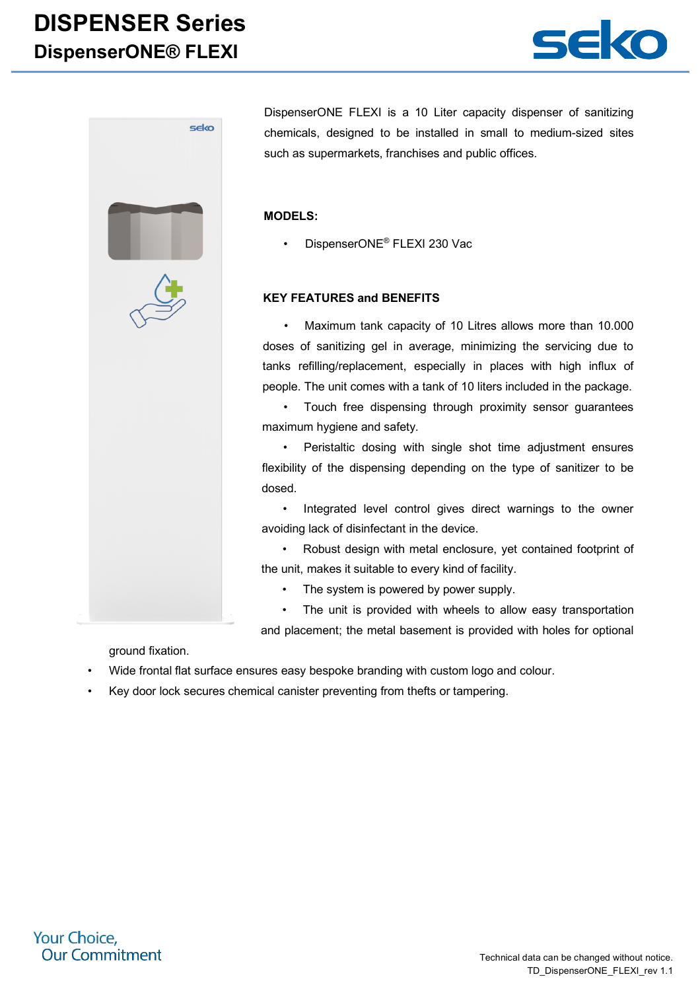## **DISPENSER Series DispenserONE® FLEXI**





DispenserONE FLEXI is a 10 Liter capacity dispenser of sanitizing chemicals, designed to be installed in small to medium-sized sites such as supermarkets, franchises and public offices.

#### **MODELS:**

• DispenserONE® FLEXI 230 Vac

### **KEY FEATURES and BENEFITS**

• Maximum tank capacity of 10 Litres allows more than 10.000 doses of sanitizing gel in average, minimizing the servicing due to tanks refilling/replacement, especially in places with high influx of people. The unit comes with a tank of 10 liters included in the package.

• Touch free dispensing through proximity sensor guarantees maximum hygiene and safety.

• Peristaltic dosing with single shot time adjustment ensures flexibility of the dispensing depending on the type of sanitizer to be dosed.

• Integrated level control gives direct warnings to the owner avoiding lack of disinfectant in the device.

• Robust design with metal enclosure, yet contained footprint of the unit, makes it suitable to every kind of facility.

• The system is powered by power supply.

• The unit is provided with wheels to allow easy transportation and placement; the metal basement is provided with holes for optional

ground fixation.

- Wide frontal flat surface ensures easy bespoke branding with custom logo and colour.
- Key door lock secures chemical canister preventing from thefts or tampering.